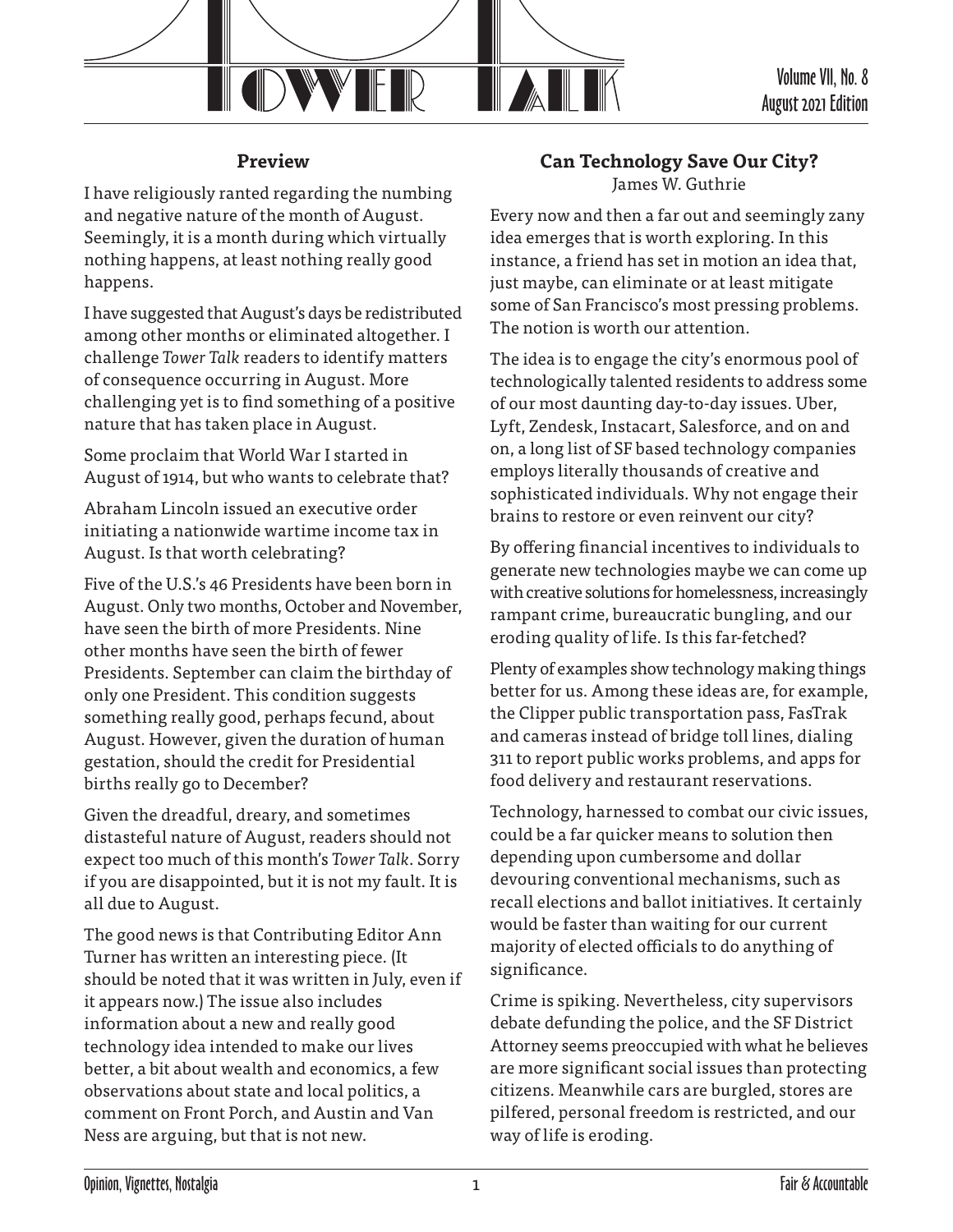

Volume VII, No. 8 August 2021 Edition

## **Preview**

I have religiously ranted regarding the numbing and negative nature of the month of August. Seemingly, it is a month during which virtually nothing happens, at least nothing really good happens.

I have suggested that August's days be redistributed among other months or eliminated altogether. I challenge *Tower Talk* readers to identify matters of consequence occurring in August. More challenging yet is to find something of a positive nature that has taken place in August.

Some proclaim that World War I started in August of 1914, but who wants to celebrate that?

Abraham Lincoln issued an executive order initiating a nationwide wartime income tax in August. Is that worth celebrating?

Five of the U.S.'s 46 Presidents have been born in August. Only two months, October and November, have seen the birth of more Presidents. Nine other months have seen the birth of fewer Presidents. September can claim the birthday of only one President. This condition suggests something really good, perhaps fecund, about August. However, given the duration of human gestation, should the credit for Presidential births really go to December?

Given the dreadful, dreary, and sometimes distasteful nature of August, readers should not expect too much of this month's *Tower Talk*. Sorry if you are disappointed, but it is not my fault. It is all due to August.

The good news is that Contributing Editor Ann Turner has written an interesting piece. (It should be noted that it was written in July, even if it appears now.) The issue also includes information about a new and really good technology idea intended to make our lives better, a bit about wealth and economics, a few observations about state and local politics, a comment on Front Porch, and Austin and Van Ness are arguing, but that is not new.

## **Can Technology Save Our City?** James W. Guthrie

Every now and then a far out and seemingly zany idea emerges that is worth exploring. In this instance, a friend has set in motion an idea that, just maybe, can eliminate or at least mitigate some of San Francisco's most pressing problems. The notion is worth our attention.

The idea is to engage the city's enormous pool of technologically talented residents to address some of our most daunting day-to-day issues. Uber, Lyft, Zendesk, Instacart, Salesforce, and on and on, a long list of SF based technology companies employs literally thousands of creative and sophisticated individuals. Why not engage their brains to restore or even reinvent our city?

By offering financial incentives to individuals to generate new technologies maybe we can come up with creative solutions for homelessness, increasingly rampant crime, bureaucratic bungling, and our eroding quality of life. Is this far-fetched?

Plenty of examples show technology making things better for us. Among these ideas are, for example, the Clipper public transportation pass, FasTrak and cameras instead of bridge toll lines, dialing 311 to report public works problems, and apps for food delivery and restaurant reservations.

Technology, harnessed to combat our civic issues, could be a far quicker means to solution then depending upon cumbersome and dollar devouring conventional mechanisms, such as recall elections and ballot initiatives. It certainly would be faster than waiting for our current majority of elected officials to do anything of significance.

Crime is spiking. Nevertheless, city supervisors debate defunding the police, and the SF District Attorney seems preoccupied with what he believes are more significant social issues than protecting citizens. Meanwhile cars are burgled, stores are pilfered, personal freedom is restricted, and our way of life is eroding.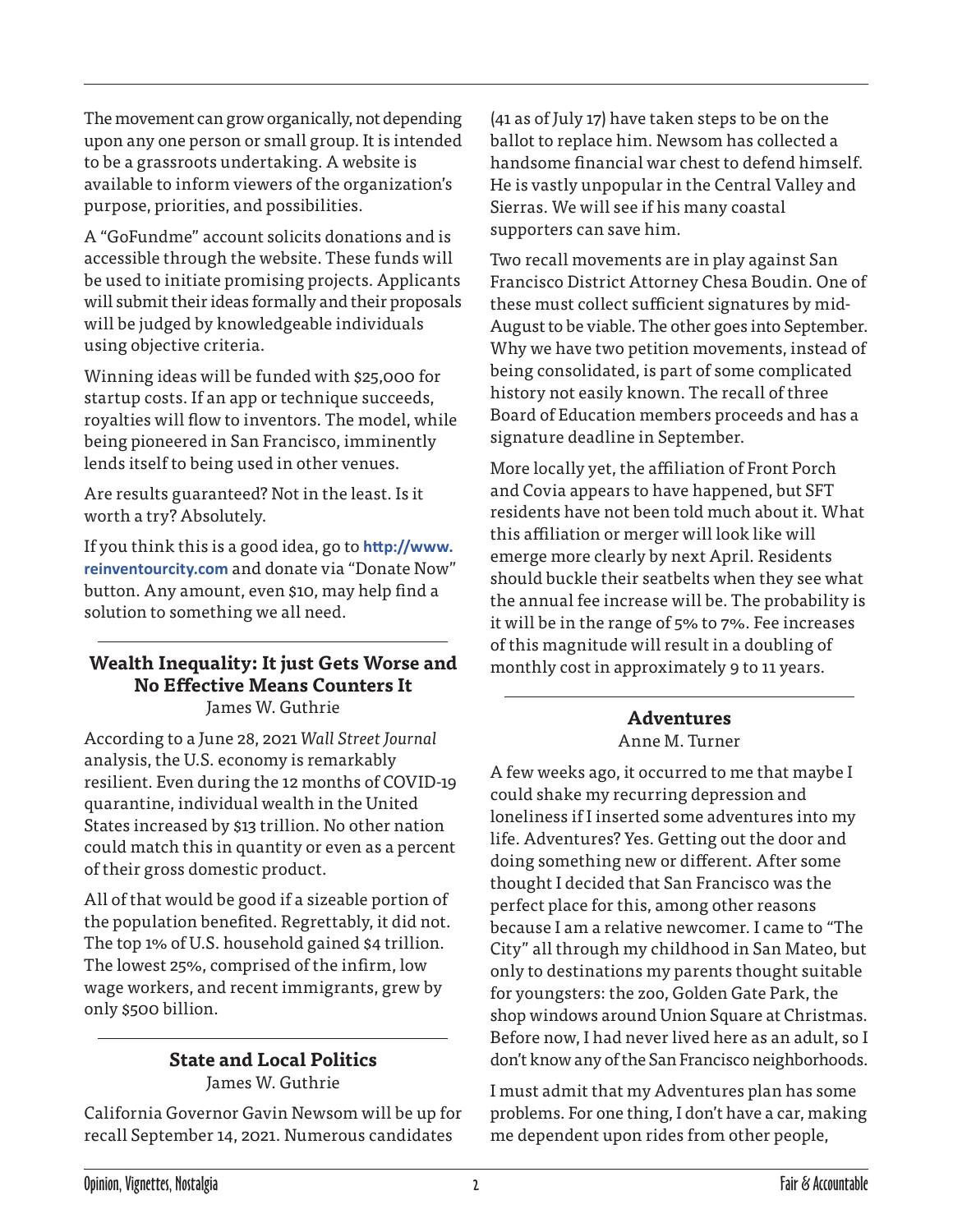The movement can grow organically, not depending upon any one person or small group. It is intended to be a grassroots undertaking. A website is available to inform viewers of the organization's purpose, priorities, and possibilities.

A "GoFundme" account solicits donations and is accessible through the website. These funds will be used to initiate promising projects. Applicants will submit their ideas formally and their proposals will be judged by knowledgeable individuals using objective criteria.

Winning ideas will be funded with \$25,000 for startup costs. If an app or technique succeeds, royalties will flow to inventors. The model, while being pioneered in San Francisco, imminently lends itself to being used in other venues.

Are results guaranteed? Not in the least. Is it worth a try? Absolutely.

If you think this is a good idea, go to **[http://www.](http://www.reinventourcity.com) [reinventourcity.com](http://www.reinventourcity.com)** and donate via "Donate Now" button. Any amount, even \$10, may help find a solution to something we all need.

#### **Wealth Inequality: It just Gets Worse and No Effective Means Counters It**  James W. Guthrie

According to a June 28, 2021 *Wall Street Journal* analysis, the U.S. economy is remarkably resilient. Even during the 12 months of COVID-19 quarantine, individual wealth in the United States increased by \$13 trillion. No other nation could match this in quantity or even as a percent of their gross domestic product.

All of that would be good if a sizeable portion of the population benefited. Regrettably, it did not. The top 1% of U.S. household gained \$4 trillion. The lowest 25%, comprised of the infirm, low wage workers, and recent immigrants, grew by only \$500 billion.

### **State and Local Politics** James W. Guthrie

California Governor Gavin Newsom will be up for recall September 14, 2021. Numerous candidates

(41 as of July 17) have taken steps to be on the ballot to replace him. Newsom has collected a handsome financial war chest to defend himself. He is vastly unpopular in the Central Valley and Sierras. We will see if his many coastal supporters can save him.

Two recall movements are in play against San Francisco District Attorney Chesa Boudin. One of these must collect sufficient signatures by mid-August to be viable. The other goes into September. Why we have two petition movements, instead of being consolidated, is part of some complicated history not easily known. The recall of three Board of Education members proceeds and has a signature deadline in September.

More locally yet, the affiliation of Front Porch and Covia appears to have happened, but SFT residents have not been told much about it. What this affiliation or merger will look like will emerge more clearly by next April. Residents should buckle their seatbelts when they see what the annual fee increase will be. The probability is it will be in the range of 5% to 7%. Fee increases of this magnitude will result in a doubling of monthly cost in approximately 9 to 11 years.

### **Adventures** Anne M. Turner

A few weeks ago, it occurred to me that maybe I could shake my recurring depression and loneliness if I inserted some adventures into my life. Adventures? Yes. Getting out the door and doing something new or different. After some thought I decided that San Francisco was the perfect place for this, among other reasons because I am a relative newcomer. I came to "The City" all through my childhood in San Mateo, but only to destinations my parents thought suitable for youngsters: the zoo, Golden Gate Park, the shop windows around Union Square at Christmas. Before now, I had never lived here as an adult, so I don't know any of the San Francisco neighborhoods.

I must admit that my Adventures plan has some problems. For one thing, I don't have a car, making me dependent upon rides from other people,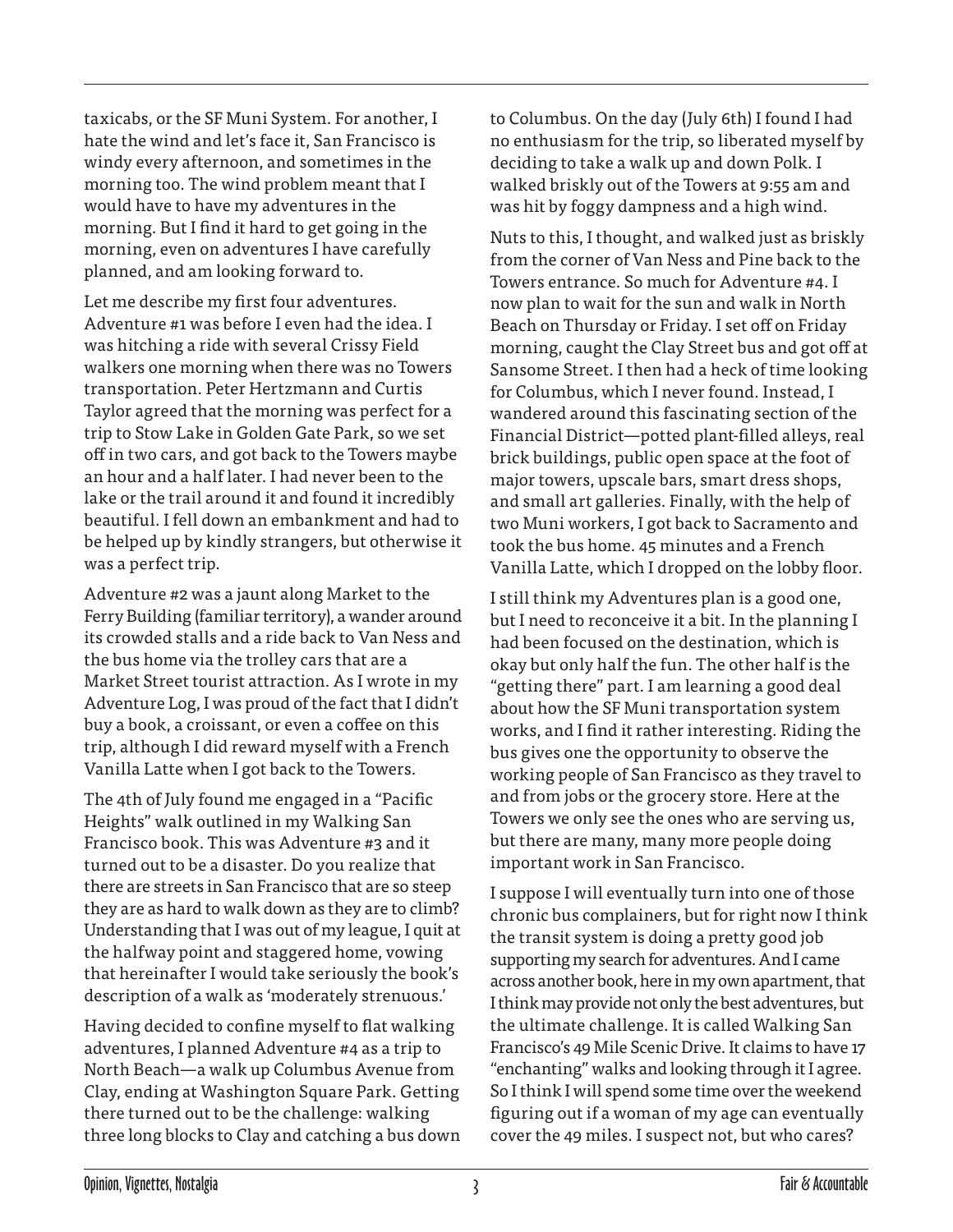taxicabs, or the SF Muni System. For another, I hate the wind and let's face it, San Francisco is windy every afternoon, and sometimes in the morning too. The wind problem meant that I would have to have my adventures in the morning. But I find it hard to get going in the morning, even on adventures I have carefully planned, and am looking forward to.

Let me describe my first four adventures. Adventure #1 was before I even had the idea. I was hitching a ride with several Crissy Field walkers one morning when there was no Towers transportation. Peter Hertzmann and Curtis Taylor agreed that the morning was perfect for a trip to Stow Lake in Golden Gate Park, so we set off in two cars, and got back to the Towers maybe an hour and a half later. I had never been to the lake or the trail around it and found it incredibly beautiful. I fell down an embankment and had to be helped up by kindly strangers, but otherwise it was a perfect trip.

Adventure #2 was a jaunt along Market to the Ferry Building (familiar territory), a wander around its crowded stalls and a ride back to Van Ness and the bus home via the trolley cars that are a Market Street tourist attraction. As I wrote in my Adventure Log, I was proud of the fact that I didn't buy a book, a croissant, or even a coffee on this trip, although I did reward myself with a French Vanilla Latte when I got back to the Towers.

The 4th of July found me engaged in a "Pacific Heights" walk outlined in my Walking San Francisco book. This was Adventure #3 and it turned out to be a disaster. Do you realize that there are streets in San Francisco that are so steep they are as hard to walk down as they are to climb? Understanding that I was out of my league, I quit at the halfway point and staggered home, vowing that hereinafter I would take seriously the book's description of a walk as 'moderately strenuous.'

Having decided to confine myself to flat walking adventures, I planned Adventure #4 as a trip to North Beach—a walk up Columbus Avenue from Clay, ending at Washington Square Park. Getting there turned out to be the challenge: walking three long blocks to Clay and catching a bus down to Columbus. On the day (July 6th) I found I had no enthusiasm for the trip, so liberated myself by deciding to take a walk up and down Polk. I walked briskly out of the Towers at 9:55 am and was hit by foggy dampness and a high wind.

Nuts to this, I thought, and walked just as briskly from the corner of Van Ness and Pine back to the Towers entrance. So much for Adventure #4. I now plan to wait for the sun and walk in North Beach on Thursday or Friday. I set off on Friday morning, caught the Clay Street bus and got off at Sansome Street. I then had a heck of time looking for Columbus, which I never found. Instead, I wandered around this fascinating section of the Financial District—potted plant-filled alleys, real brick buildings, public open space at the foot of major towers, upscale bars, smart dress shops, and small art galleries. Finally, with the help of two Muni workers, I got back to Sacramento and took the bus home. 45 minutes and a French Vanilla Latte, which I dropped on the lobby floor.

I still think my Adventures plan is a good one, but I need to reconceive it a bit. In the planning I had been focused on the destination, which is okay but only half the fun. The other half is the "getting there" part. I am learning a good deal about how the SF Muni transportation system works, and I find it rather interesting. Riding the bus gives one the opportunity to observe the working people of San Francisco as they travel to and from jobs or the grocery store. Here at the Towers we only see the ones who are serving us, but there are many, many more people doing important work in San Francisco.

I suppose I will eventually turn into one of those chronic bus complainers, but for right now I think the transit system is doing a pretty good job supporting my search for adventures. And I came across another book, here in my own apartment, that I think may provide not only the best adventures, but the ultimate challenge. It is called Walking San Francisco's 49 Mile Scenic Drive. It claims to have 17 "enchanting" walks and looking through it I agree. So I think I will spend some time over the weekend figuring out if a woman of my age can eventually cover the 49 miles. I suspect not, but who cares?